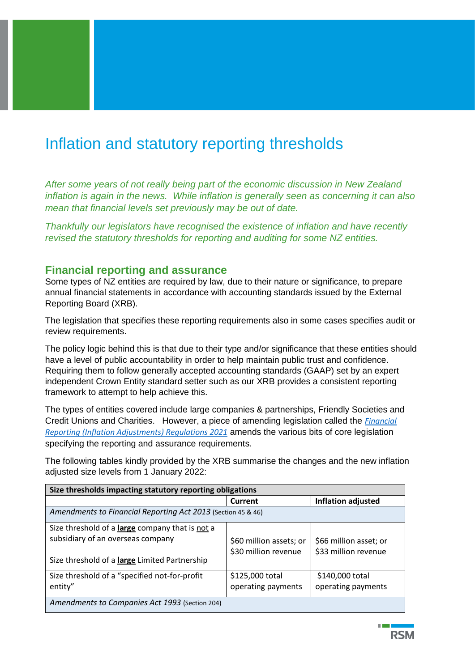## Inflation and statutory reporting thresholds

*After some years of not really being part of the economic discussion in New Zealand inflation is again in the news. While inflation is generally seen as concerning it can also mean that financial levels set previously may be out of date.* 

*Thankfully our legislators have recognised the existence of inflation and have recently revised the statutory thresholds for reporting and auditing for some NZ entities.* 

## **Financial reporting and assurance**

Some types of NZ entities are required by law, due to their nature or significance, to prepare annual financial statements in accordance with accounting standards issued by the External Reporting Board (XRB).

The legislation that specifies these reporting requirements also in some cases specifies audit or review requirements.

The policy logic behind this is that due to their type and/or significance that these entities should have a level of public accountability in order to help maintain public trust and confidence. Requiring them to follow generally accepted accounting standards (GAAP) set by an expert independent Crown Entity standard setter such as our XRB provides a consistent reporting framework to attempt to help achieve this.

The types of entities covered include large companies & partnerships, Friendly Societies and Credit Unions and Charities. However, a piece of amending legislation called the *[Financial](https://www.legislation.govt.nz/regulation/public/2021/0307/latest/LMS549128.html?src=qs)  [Reporting \(Inflation Adjustments\) Regulations 2021](https://www.legislation.govt.nz/regulation/public/2021/0307/latest/LMS549128.html?src=qs)* amends the various bits of core legislation specifying the reporting and assurance requirements.

The following tables kindly provided by the XRB summarise the changes and the new inflation adjusted size levels from 1 January 2022:

| Size thresholds impacting statutory reporting obligations                                                                             |                                                 |                                                |  |  |
|---------------------------------------------------------------------------------------------------------------------------------------|-------------------------------------------------|------------------------------------------------|--|--|
|                                                                                                                                       | Current                                         | Inflation adjusted                             |  |  |
| Amendments to Financial Reporting Act 2013 (Section 45 & 46)                                                                          |                                                 |                                                |  |  |
| Size threshold of a large company that is not a<br>subsidiary of an overseas company<br>Size threshold of a large Limited Partnership | \$60 million assets; or<br>\$30 million revenue | \$66 million asset; or<br>\$33 million revenue |  |  |
| Size threshold of a "specified not-for-profit<br>entity"                                                                              | \$125,000 total<br>operating payments           | \$140,000 total<br>operating payments          |  |  |
| Amendments to Companies Act 1993 (Section 204)                                                                                        |                                                 |                                                |  |  |